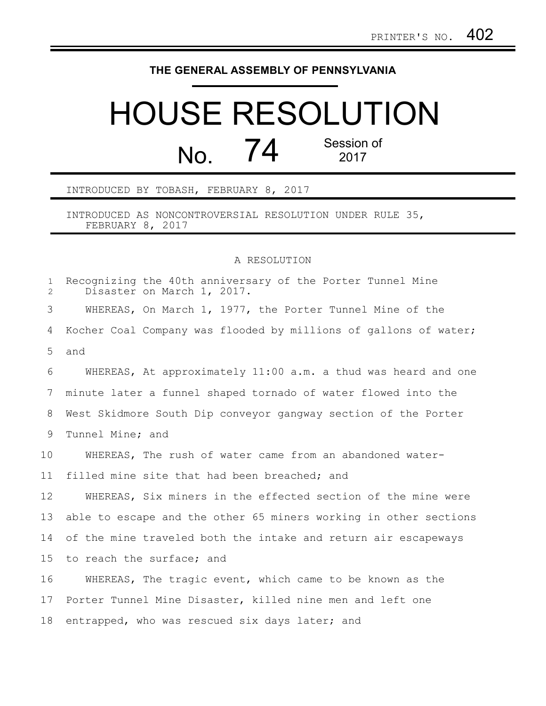## **THE GENERAL ASSEMBLY OF PENNSYLVANIA**

## HOUSE RESOLUTION No. 74 Session of 2017

INTRODUCED BY TOBASH, FEBRUARY 8, 2017

INTRODUCED AS NONCONTROVERSIAL RESOLUTION UNDER RULE 35, FEBRUARY 8, 2017

## A RESOLUTION

| $\mathbf{1}$<br>$\overline{2}$ | Recognizing the 40th anniversary of the Porter Tunnel Mine<br>Disaster on March 1, 2017. |
|--------------------------------|------------------------------------------------------------------------------------------|
| 3                              | WHEREAS, On March 1, 1977, the Porter Tunnel Mine of the                                 |
| 4                              | Kocher Coal Company was flooded by millions of gallons of water;                         |
| 5                              | and                                                                                      |
| 6                              | WHEREAS, At approximately 11:00 a.m. a thud was heard and one                            |
| 7                              | minute later a funnel shaped tornado of water flowed into the                            |
| 8                              | West Skidmore South Dip conveyor gangway section of the Porter                           |
| 9                              | Tunnel Mine; and                                                                         |
| 10                             | WHEREAS, The rush of water came from an abandoned water-                                 |
| 11                             | filled mine site that had been breached; and                                             |
| 12                             | WHEREAS, Six miners in the effected section of the mine were                             |
| 13                             | able to escape and the other 65 miners working in other sections                         |
| 14                             | of the mine traveled both the intake and return air escapeways                           |
| 15                             | to reach the surface; and                                                                |
| 16                             | WHEREAS, The tragic event, which came to be known as the                                 |
| 17                             | Porter Tunnel Mine Disaster, killed nine men and left one                                |
| 18                             | entrapped, who was rescued six days later; and                                           |